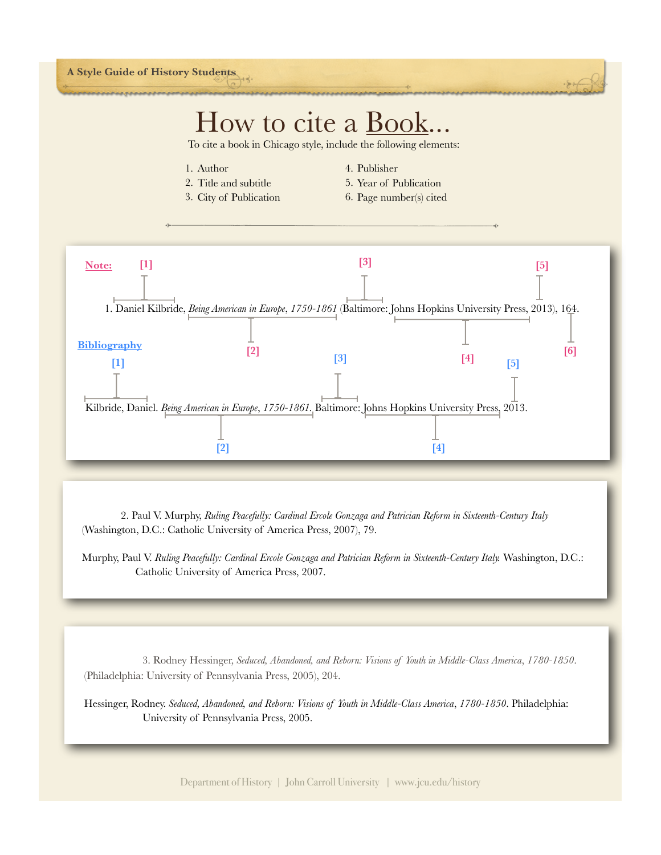## $H_{\text{OW}}$  to cite  $a \text{ Book} \ldots$ <br>To cite a book in Chicago style, include the following elements:

1. Author

- 4. Publisher
- 2. Title and subtitle
- 5. Year of Publication
- 3. City of Publication
- 6. Page number(s) cited



 2. Paul V. Murphy, *Ruling Peacefully: Cardinal Ercole Gonzaga and Patrician Reform in Sixteenth-Century Italy* (Washington, D.C.: Catholic University of America Press, 2007), 79.

Murphy, Paul V. Ruling Peacefully: Cardinal Ercole Gonzaga and Patrician Reform in Sixteenth-Century Italy. Washington, D.C.: Catholic University of America Press, 2007.

 3. Rodney Hessinger, *Seduced, Abandoned, and Reborn: Visions of Youth in Middle-Class America*, *1780-1850*. (Philadelphia: University of Pennsylvania Press, 2005), 204.

Hessinger, Rodney. *Seduced, Abandoned, and Reborn: Visions of Youth in Middle-Class America*, *1780-1850*. Philadelphia: University of Pennsylvania Press, 2005.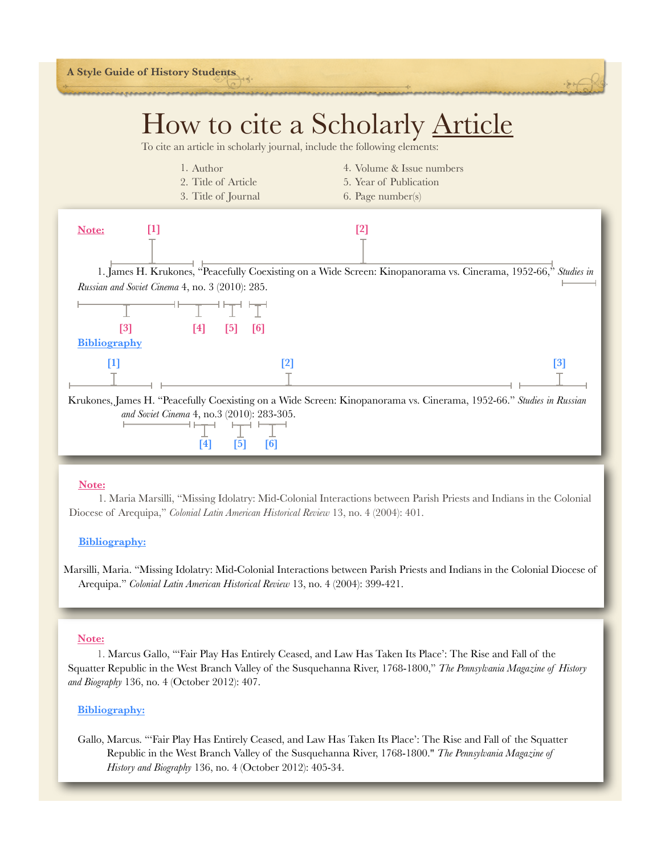

- 1. Author
	- 2. Title of Article
	- 3. Title of Journal
- 4. Volume & Issue numbers 5. Year of Publication
- 6. Page number(s)



### **Note:**

 1. Maria Marsilli, "Missing Idolatry: Mid-Colonial Interactions between Parish Priests and Indians in the Colonial Diocese of Arequipa," *Colonial Latin American Historical Review* 13, no. 4 (2004): 401.

### **Bibliography:**

Marsilli, Maria. "Missing Idolatry: Mid-Colonial Interactions between Parish Priests and Indians in the Colonial Diocese of Arequipa." *Colonial Latin American Historical Review* 13, no. 4 (2004): 399-421.

#### **Note:**

 1. Marcus Gallo, "'Fair Play Has Entirely Ceased, and Law Has Taken Its Place': The Rise and Fall of the Squatter Republic in the West Branch Valley of the Susquehanna River, 1768-1800," *The Pennsylvania Magazine of History and Biography* 136, no. 4 (October 2012): 407.

### **Bibliography:**

Gallo, Marcus. "'Fair Play Has Entirely Ceased, and Law Has Taken Its Place': The Rise and Fall of the Squatter Republic in the West Branch Valley of the Susquehanna River, 1768-1800." *The Pennsylvania Magazine of History and Biography* 136, no. 4 (October 2012): 405-34.

Department of History | John Carroll University | www.jcu.edu/history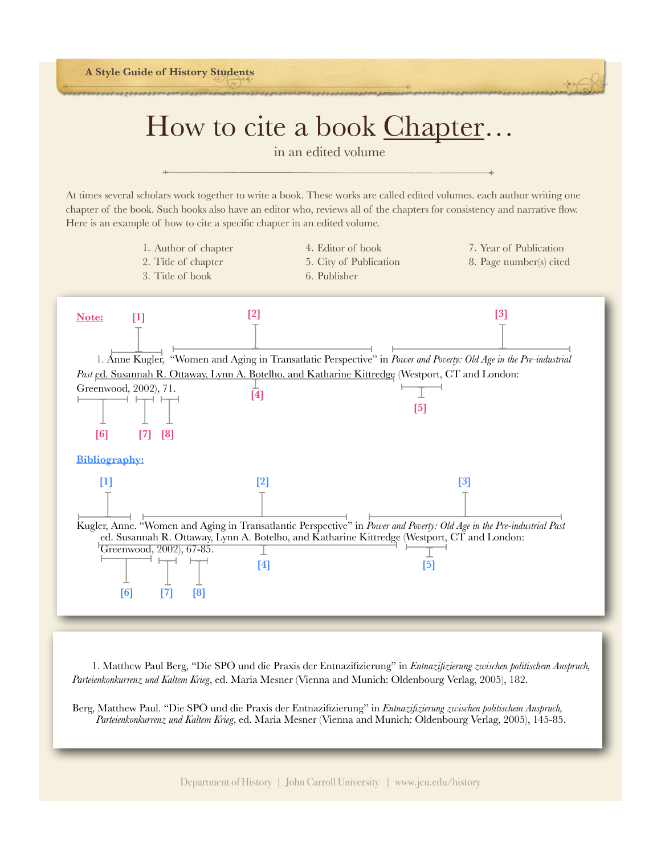**A Style Guide of History Students**

## How to cite a book Chapter...

At times several scholars work together to write a book. These works are called edited volumes. each author writing one chapter of the book. Such books also have an editor who, reviews all of the chapters for consistency and narrative flow. Here is an example of how to cite a specific chapter in an edited volume.

- 1. Author of chapter 2. Title of chapter 3. Title of book
- 4. Editor of book

6. Publisher

- 5. City of Publication
- 7. Year of Publication
	- 8. Page number(s) cited



 1. Matthew Paul Berg, "Die SPÖ und die Praxis der Entnazifizierung" in *Entnazifizierung zwischen politischem Anspruch, Parteienkonkurrenz und Kaltem Krieg*, ed. Maria Mesner (Vienna and Munich: Oldenbourg Verlag, 2005), 182.

Berg, Matthew Paul. "Die SPÖ und die Praxis der Entnazifizierung" in *Entnazifizierung zwischen politischem Anspruch, Parteienkonkurrenz und Kaltem Krieg*, ed. Maria Mesner (Vienna and Munich: Oldenbourg Verlag, 2005), 145-85.

Department of History | John Carroll University | www.jcu.edu/history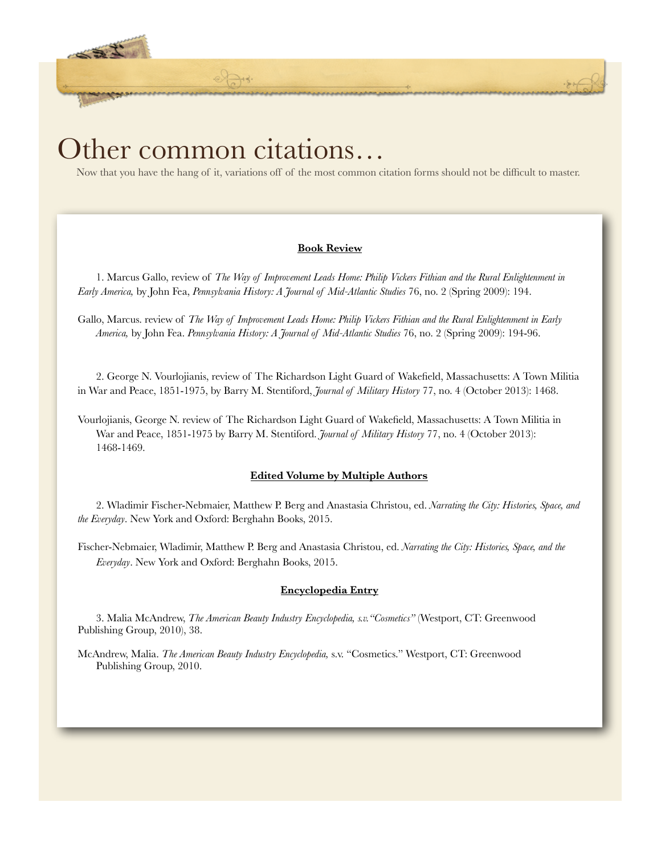### Other common citations…

计图片

Now that you have the hang of it, variations off of the most common citation forms should not be difficult to master.

 **CATA:** 

### **Book Review**

1. Marcus Gallo, review of *The Way of Improvement Leads Home: Philip Vickers Fithian and the Rural Enlightenment in Early America,* by John Fea, *Pennsylvania History: A Journal of Mid-Atlantic Studies* 76, no. 2 (Spring 2009): 194.

Gallo, Marcus. review of *The Way of Improvement Leads Home: Philip Vickers Fithian and the Rural Enlightenment in Early America,* by John Fea. *Pennsylvania History: A Journal of Mid-Atlantic Studies* 76, no. 2 (Spring 2009): 194-96.

2. George N. Vourlojianis, review of The Richardson Light Guard of Wakefield, Massachusetts: A Town Militia in War and Peace, 1851-1975, by Barry M. Stentiford, *Journal of Military History* 77, no. 4 (October 2013): 1468.

Vourlojianis, George N. review of The Richardson Light Guard of Wakefield, Massachusetts: A Town Militia in War and Peace, 1851-1975 by Barry M. Stentiford. *Journal of Military History* 77, no. 4 (October 2013): 1468-1469.

### **Edited Volume by Multiple Authors**

2. Wladimir Fischer-Nebmaier, Matthew P. Berg and Anastasia Christou, ed. *Narrating the City: Histories, Space, and the Everyday*. New York and Oxford: Berghahn Books, 2015.

Fischer-Nebmaier, Wladimir, Matthew P. Berg and Anastasia Christou, ed. *Narrating the City: Histories, Space, and the Everyday*. New York and Oxford: Berghahn Books, 2015.

### **Encyclopedia Entry**

3. Malia McAndrew, *The American Beauty Industry Encyclopedia, s.v."Cosmetics"* (Westport, CT: Greenwood Publishing Group, 2010), 38.

McAndrew, Malia. *The American Beauty Industry Encyclopedia,* s.v. "Cosmetics." Westport, CT: Greenwood Publishing Group, 2010.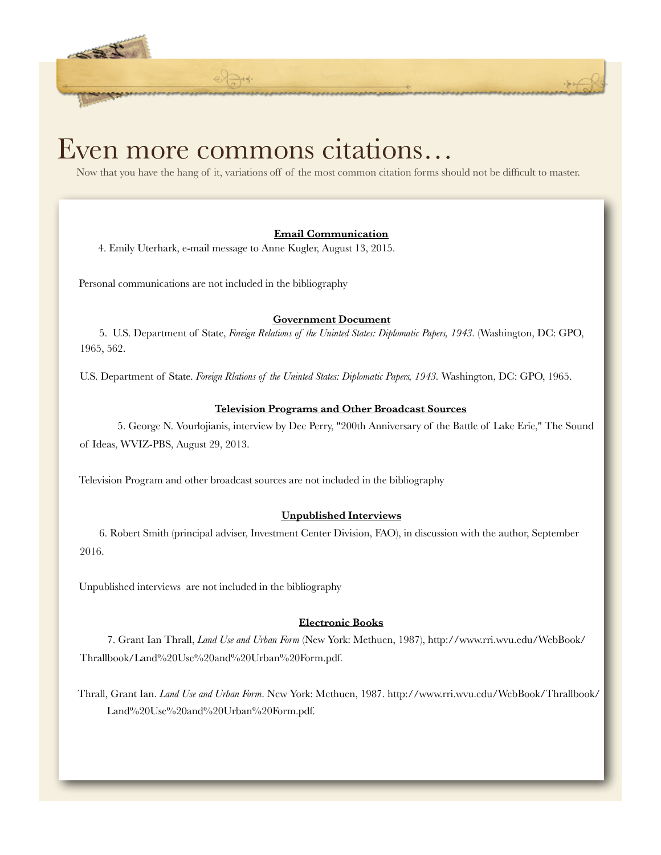### Even more commons citations…

Now that you have the hang of it, variations off of the most common citation forms should not be difficult to master.

 **CATA** 

### **Email Communication**

4. Emily Uterhark, e-mail message to Anne Kugler, August 13, 2015.

Personal communications are not included in the bibliography

小蟹子

### **Government Document**

5.U.S. Department of State, *Foreign Relations of the Uninted States: Diplomatic Papers, 1943.* (Washington, DC: GPO, 1965, 562.

U.S. Department of State. *Foreign Rlations of the Uninted States: Diplomatic Papers, 1943.* Washington, DC: GPO, 1965.

### **Television Programs and Other Broadcast Sources**

5. George N. Vourlojianis, interview by Dee Perry, "200th Anniversary of the Battle of Lake Erie," The Sound of Ideas, WVIZ-PBS, August 29, 2013.

Television Program and other broadcast sources are not included in the bibliography

### **Unpublished Interviews**

6. Robert Smith (principal adviser, Investment Center Division, FAO), in discussion with the author, September 2016.

Unpublished interviews are not included in the bibliography

### **Electronic Books**

7. Grant Ian Thrall, *Land Use and Urban Form* (New York: Methuen, 1987), http://www.rri.wvu.edu/WebBook/ Thrallbook/Land%20Use%20and%20Urban%20Form.pdf.

Thrall, Grant Ian. *Land Use and Urban Form*. New York: Methuen, 1987. http://www.rri.wvu.edu/WebBook/Thrallbook/ Land%20Use%20and%20Urban%20Form.pdf.

Department of History | John Carroll University | www.jcu.edu/history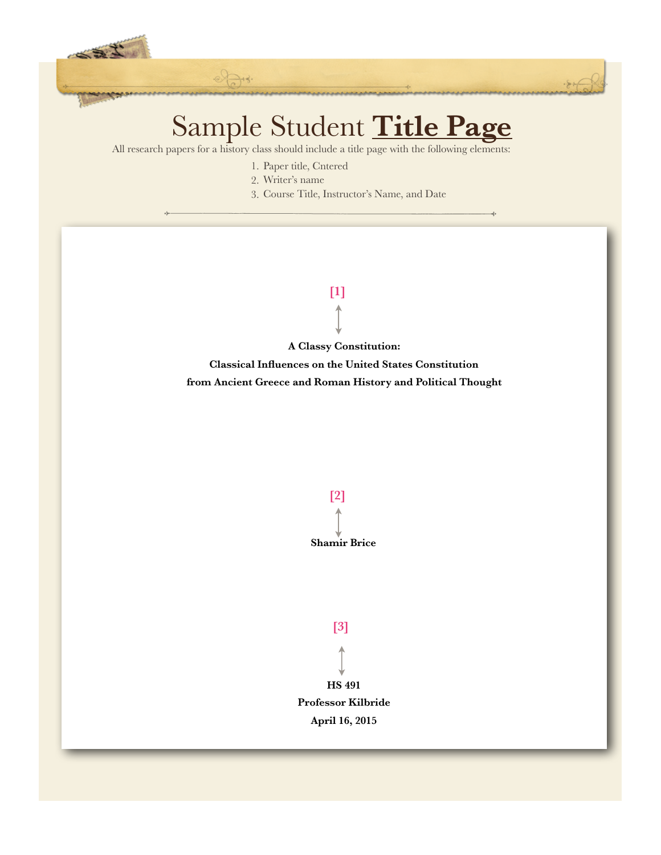

 **CATA** 

All research papers for a history class should include a title page with the following elements:

- 1. Paper title, Cntered
- 2. Writer's name

27

3. Course Title, Instructor's Name, and Date

# **[1]**

**A Classy Constitution:** 

**Classical Influences on the United States Constitution from Ancient Greece and Roman History and Political Thought**





**[3]**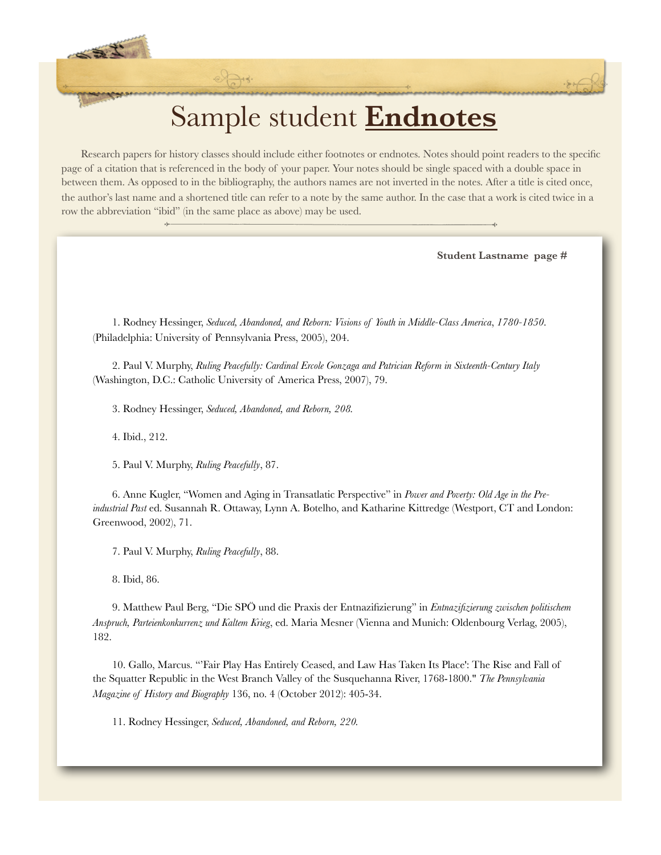### Sample student **Endnotes**

 **CATA** 

Research papers for history classes should include either footnotes or endnotes. Notes should point readers to the specific page of a citation that is referenced in the body of your paper. Your notes should be single spaced with a double space in between them. As opposed to in the bibliography, the authors names are not inverted in the notes. After a title is cited once, the author's last name and a shortened title can refer to a note by the same author. In the case that a work is cited twice in a row the abbreviation "ibid" (in the same place as above) may be used.

**Student Lastname page #**

1. Rodney Hessinger, *Seduced, Abandoned, and Reborn: Visions of Youth in Middle-Class America*, *1780-1850*. (Philadelphia: University of Pennsylvania Press, 2005), 204.

2. Paul V. Murphy, *Ruling Peacefully: Cardinal Ercole Gonzaga and Patrician Reform in Sixteenth-Century Italy* (Washington, D.C.: Catholic University of America Press, 2007), 79.

3. Rodney Hessinger, *Seduced, Abandoned, and Reborn, 208.* 

4. Ibid., 212.

小路上

5. Paul V. Murphy, *Ruling Peacefully*, 87.

6. Anne Kugler, "Women and Aging in Transatlatic Perspective" in *Power and Poverty: Old Age in the Preindustrial Past* ed. Susannah R. Ottaway, Lynn A. Botelho, and Katharine Kittredge (Westport, CT and London: Greenwood, 2002), 71.

7. Paul V. Murphy, *Ruling Peacefully*, 88.

8. Ibid, 86.

9. Matthew Paul Berg, "Die SPÖ und die Praxis der Entnazifizierung" in *Entnazifizierung zwischen politischem Anspruch, Parteienkonkurrenz und Kaltem Krieg*, ed. Maria Mesner (Vienna and Munich: Oldenbourg Verlag, 2005), 182.

10. Gallo, Marcus. "'Fair Play Has Entirely Ceased, and Law Has Taken Its Place': The Rise and Fall of the Squatter Republic in the West Branch Valley of the Susquehanna River, 1768-1800." *The Pennsylvania Magazine of History and Biography* 136, no. 4 (October 2012): 405-34.

11. Rodney Hessinger, *Seduced, Abandoned, and Reborn, 220.*